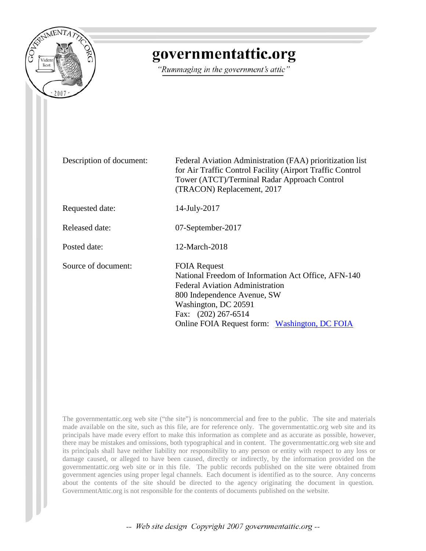

# governmentattic.org

"Rummaging in the government's attic"

Description of document: Federal Aviation Administration (FAA) prioritization list for Air Traffic Control Facility (Airport Traffic Control Tower (ATCT)/Terminal Radar Approach Control (TRACON) Replacement, 2017

Requested date: 14-July-2017

Released date: 07-September-2017

Posted date: 12-March-2018

Source of document: FOIA Request

National Freedom of Information Act Office, AFN-140 Federal Aviation Administration 800 Independence Avenue, SW Washington, DC 20591 Fax: (202) 267-6514 Online FOIA Request form: [Washington, DC FOIA](https://www.faa.gov/foia/email_foia/index.cfm?region=hq)

The governmentattic.org web site ("the site") is noncommercial and free to the public. The site and materials made available on the site, such as this file, are for reference only. The governmentattic.org web site and its principals have made every effort to make this information as complete and as accurate as possible, however, there may be mistakes and omissions, both typographical and in content. The governmentattic.org web site and its principals shall have neither liability nor responsibility to any person or entity with respect to any loss or damage caused, or alleged to have been caused, directly or indirectly, by the information provided on the governmentattic.org web site or in this file. The public records published on the site were obtained from government agencies using proper legal channels. Each document is identified as to the source. Any concerns about the contents of the site should be directed to the agency originating the document in question. GovernmentAttic.org is not responsible for the contents of documents published on the website.

-- Web site design Copyright 2007 governmentattic.org --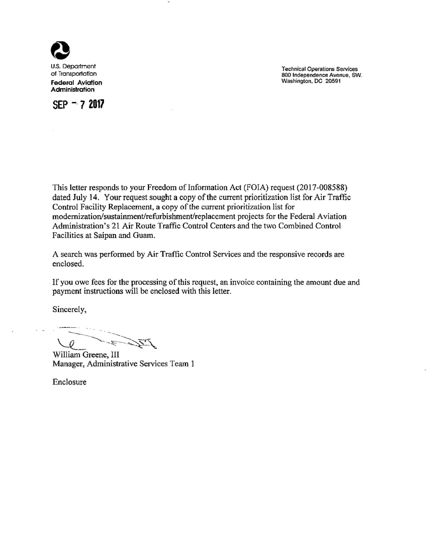

of Transportation **Federal Aviation**  Administration



Technical Operations Services 800 Independence Avenue, SW. Washington, DC 20591

This letter responds to your Freedom of Information Act (FOIA) request (2017-008588) dated July 14. Your request sought a copy of the current prioritization list for Air Traffic Control Facility Replacement, a copy of the current prioritization list for modernization/sustainment/refurbishment/replacement projects for the Federal Aviation Administration's 21 Air Route Traffic Control Centers and the two Combined Control Facilities at Saipan and Guam.

A search was performed by Air Traffic Control Services and the responsive records are enclosed.

If you owe fees for the processing of this request, an invoice containing the amount due and payment instructions will be enclosed with this letter.

Sincerely,

r - E - S IZ

William Greene, III Manager, Administrative Services Team 1

Enclosure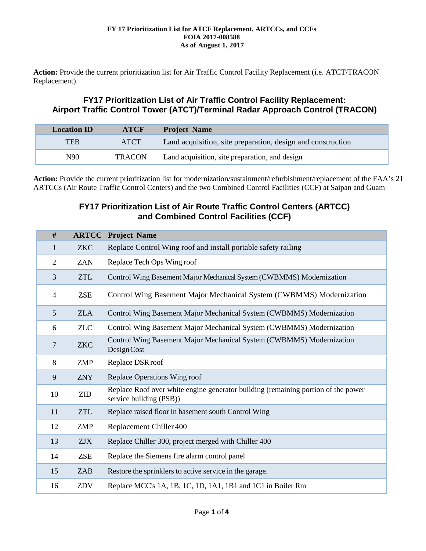**Action:** Provide the current prioritization list for Air Traffic Control Facility Replacement (i.e. ATCT/TRACON Replacement).

## **FY17 Prioritization List of Air Traffic Control Facility Replacement: Airport Traffic Control Tower (ATCT)/Terminal Radar Approach Control (TRACON)**

| <b>Location ID</b> | <b>ATCF</b>   | <b>Project Name</b>                                         |
|--------------------|---------------|-------------------------------------------------------------|
| TEB                | <b>ATCT</b>   | Land acquisition, site preparation, design and construction |
| N90                | <b>TRACON</b> | Land acquisition, site preparation, and design              |

**Action:** Provide the current prioritization list for modernization/sustainment/refurbishment/replacement of the FAA's 21 ARTCCs (Air Route Traffic Control Centers) and the two Combined Control Facilities (CCF) at Saipan and Guam

## **FY17 Prioritization List of Air Route Traffic Control Centers (ARTCC) and Combined Control Facilities (CCF)**

| #              | <b>ARTCC</b> | <b>Project Name</b>                                                                                          |
|----------------|--------------|--------------------------------------------------------------------------------------------------------------|
| $\mathbf{1}$   | <b>ZKC</b>   | Replace Control Wing roof and install portable safety railing                                                |
| $\overline{2}$ | <b>ZAN</b>   | Replace Tech Ops Wing roof                                                                                   |
| 3              | <b>ZTL</b>   | Control Wing Basement Major Mechanical System (CWBMMS) Modernization                                         |
| $\overline{4}$ | <b>ZSE</b>   | Control Wing Basement Major Mechanical System (CWBMMS) Modernization                                         |
| 5              | <b>ZLA</b>   | Control Wing Basement Major Mechanical System (CWBMMS) Modernization                                         |
| 6              | <b>ZLC</b>   | Control Wing Basement Major Mechanical System (CWBMMS) Modernization                                         |
| $\overline{7}$ | <b>ZKC</b>   | Control Wing Basement Major Mechanical System (CWBMMS) Modernization<br>Design Cost                          |
| 8              | <b>ZMP</b>   | Replace DSR roof                                                                                             |
| 9              | <b>ZNY</b>   | Replace Operations Wing roof                                                                                 |
| 10             | <b>ZID</b>   | Replace Roof over white engine generator building (remaining portion of the power<br>service building (PSB)) |
| 11             | <b>ZTL</b>   | Replace raised floor in basement south Control Wing                                                          |
| 12             | <b>ZMP</b>   | Replacement Chiller 400                                                                                      |
| 13             | <b>ZJX</b>   | Replace Chiller 300, project merged with Chiller 400                                                         |
| 14             | <b>ZSE</b>   | Replace the Siemens fire alarm control panel                                                                 |
| 15             | <b>ZAB</b>   | Restore the sprinklers to active service in the garage.                                                      |
| 16             | ZDV          | Replace MCC's 1A, 1B, 1C, 1D, 1A1, 1B1 and 1C1 in Boiler Rm                                                  |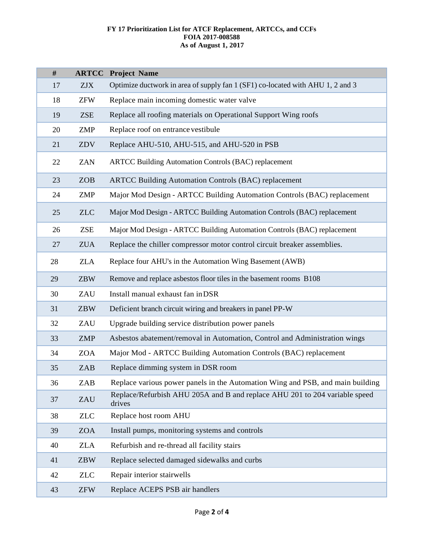| #  | <b>ARTCC</b> | <b>Project Name</b>                                                                  |
|----|--------------|--------------------------------------------------------------------------------------|
| 17 | <b>ZJX</b>   | Optimize ductwork in area of supply fan 1 (SF1) co-located with AHU 1, 2 and 3       |
| 18 | <b>ZFW</b>   | Replace main incoming domestic water valve                                           |
| 19 | <b>ZSE</b>   | Replace all roofing materials on Operational Support Wing roofs                      |
| 20 | ZMP          | Replace roof on entrance vestibule                                                   |
| 21 | ZDV          | Replace AHU-510, AHU-515, and AHU-520 in PSB                                         |
| 22 | <b>ZAN</b>   | <b>ARTCC Building Automation Controls (BAC) replacement</b>                          |
| 23 | <b>ZOB</b>   | <b>ARTCC Building Automation Controls (BAC) replacement</b>                          |
| 24 | <b>ZMP</b>   | Major Mod Design - ARTCC Building Automation Controls (BAC) replacement              |
| 25 | <b>ZLC</b>   | Major Mod Design - ARTCC Building Automation Controls (BAC) replacement              |
| 26 | <b>ZSE</b>   | Major Mod Design - ARTCC Building Automation Controls (BAC) replacement              |
| 27 | <b>ZUA</b>   | Replace the chiller compressor motor control circuit breaker assemblies.             |
| 28 | <b>ZLA</b>   | Replace four AHU's in the Automation Wing Basement (AWB)                             |
| 29 | <b>ZBW</b>   | Remove and replace asbestos floor tiles in the basement rooms B108                   |
| 30 | ZAU          | Install manual exhaust fan in DSR                                                    |
| 31 | <b>ZBW</b>   | Deficient branch circuit wiring and breakers in panel PP-W                           |
| 32 | ZAU          | Upgrade building service distribution power panels                                   |
| 33 | <b>ZMP</b>   | Asbestos abatement/removal in Automation, Control and Administration wings           |
| 34 | <b>ZOA</b>   | Major Mod - ARTCC Building Automation Controls (BAC) replacement                     |
| 35 | <b>ZAB</b>   | Replace dimming system in DSR room                                                   |
| 36 | ZAB          | Replace various power panels in the Automation Wing and PSB, and main building       |
| 37 | ZAU          | Replace/Refurbish AHU 205A and B and replace AHU 201 to 204 variable speed<br>drives |
| 38 | <b>ZLC</b>   | Replace host room AHU                                                                |
| 39 | <b>ZOA</b>   | Install pumps, monitoring systems and controls                                       |
| 40 | <b>ZLA</b>   | Refurbish and re-thread all facility stairs                                          |
| 41 | ZBW          | Replace selected damaged sidewalks and curbs                                         |
| 42 | <b>ZLC</b>   | Repair interior stairwells                                                           |
| 43 | <b>ZFW</b>   | Replace ACEPS PSB air handlers                                                       |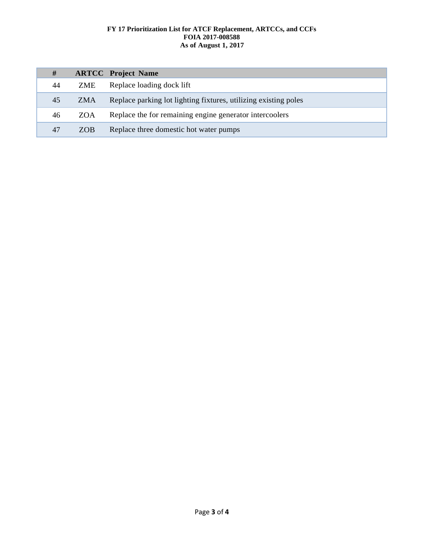| #  |            | <b>ARTCC</b> Project Name                                       |
|----|------------|-----------------------------------------------------------------|
| 44 | ZME        | Replace loading dock lift                                       |
| 45 | ZMA        | Replace parking lot lighting fixtures, utilizing existing poles |
| 46 | ZOA        | Replace the for remaining engine generator intercoolers         |
| 47 | <b>ZOB</b> | Replace three domestic hot water pumps                          |